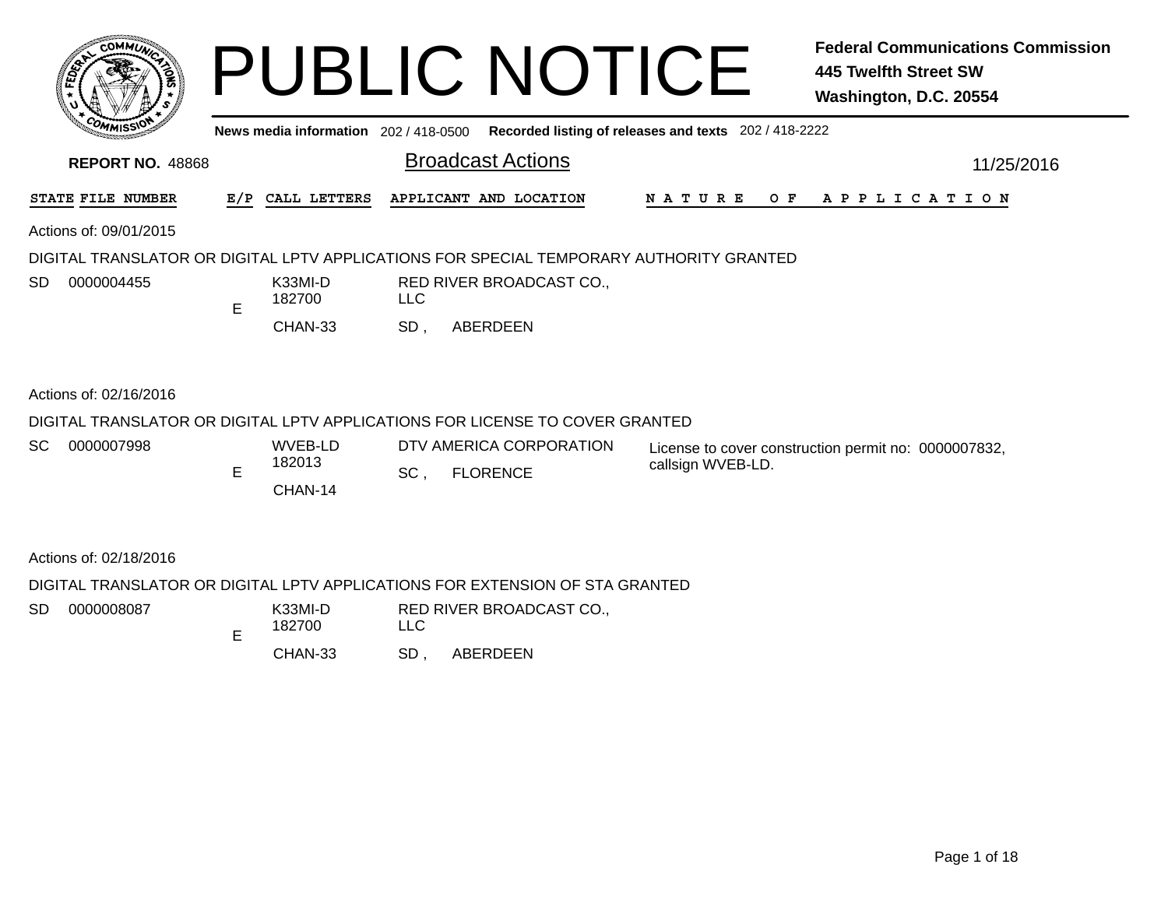|                                                                                         |    |                   |            | <b>PUBLIC NOTICE</b>                                                                        |                   | <b>Federal Communications Commission</b><br><b>445 Twelfth Street SW</b><br>Washington, D.C. 20554 |
|-----------------------------------------------------------------------------------------|----|-------------------|------------|---------------------------------------------------------------------------------------------|-------------------|----------------------------------------------------------------------------------------------------|
|                                                                                         |    |                   |            | News media information 202 / 418-0500 Recorded listing of releases and texts 202 / 418-2222 |                   |                                                                                                    |
| <b>REPORT NO. 48868</b>                                                                 |    |                   |            | <b>Broadcast Actions</b>                                                                    |                   | 11/25/2016                                                                                         |
| STATE FILE NUMBER                                                                       |    | E/P CALL LETTERS  |            | APPLICANT AND LOCATION                                                                      | <b>NATURE</b>     | OF APPLICATION                                                                                     |
| Actions of: 09/01/2015                                                                  |    |                   |            |                                                                                             |                   |                                                                                                    |
| DIGITAL TRANSLATOR OR DIGITAL LPTV APPLICATIONS FOR SPECIAL TEMPORARY AUTHORITY GRANTED |    |                   |            |                                                                                             |                   |                                                                                                    |
| SD<br>0000004455                                                                        | E. | K33MI-D<br>182700 | <b>LLC</b> | RED RIVER BROADCAST CO.,                                                                    |                   |                                                                                                    |
|                                                                                         |    | CHAN-33           | SD,        | ABERDEEN                                                                                    |                   |                                                                                                    |
| Actions of: 02/16/2016                                                                  |    |                   |            |                                                                                             |                   |                                                                                                    |
| DIGITAL TRANSLATOR OR DIGITAL LPTV APPLICATIONS FOR LICENSE TO COVER GRANTED            |    |                   |            |                                                                                             |                   |                                                                                                    |
| SC<br>0000007998                                                                        |    | WVEB-LD           |            | DTV AMERICA CORPORATION                                                                     |                   | License to cover construction permit no: 0000007832,                                               |
|                                                                                         | E  | 182013            | SC,        | <b>FLORENCE</b>                                                                             | callsign WVEB-LD. |                                                                                                    |
|                                                                                         |    | CHAN-14           |            |                                                                                             |                   |                                                                                                    |
| Actions of: 02/18/2016                                                                  |    |                   |            |                                                                                             |                   |                                                                                                    |
| DIGITAL TRANSLATOR OR DIGITAL LPTV APPLICATIONS FOR EXTENSION OF STA GRANTED            |    |                   |            |                                                                                             |                   |                                                                                                    |
| SD<br>0000008087                                                                        | E  | K33MI-D<br>182700 | <b>LLC</b> | RED RIVER BROADCAST CO.,                                                                    |                   |                                                                                                    |
|                                                                                         |    | CHAN-33           | SD,        | ABERDEEN                                                                                    |                   |                                                                                                    |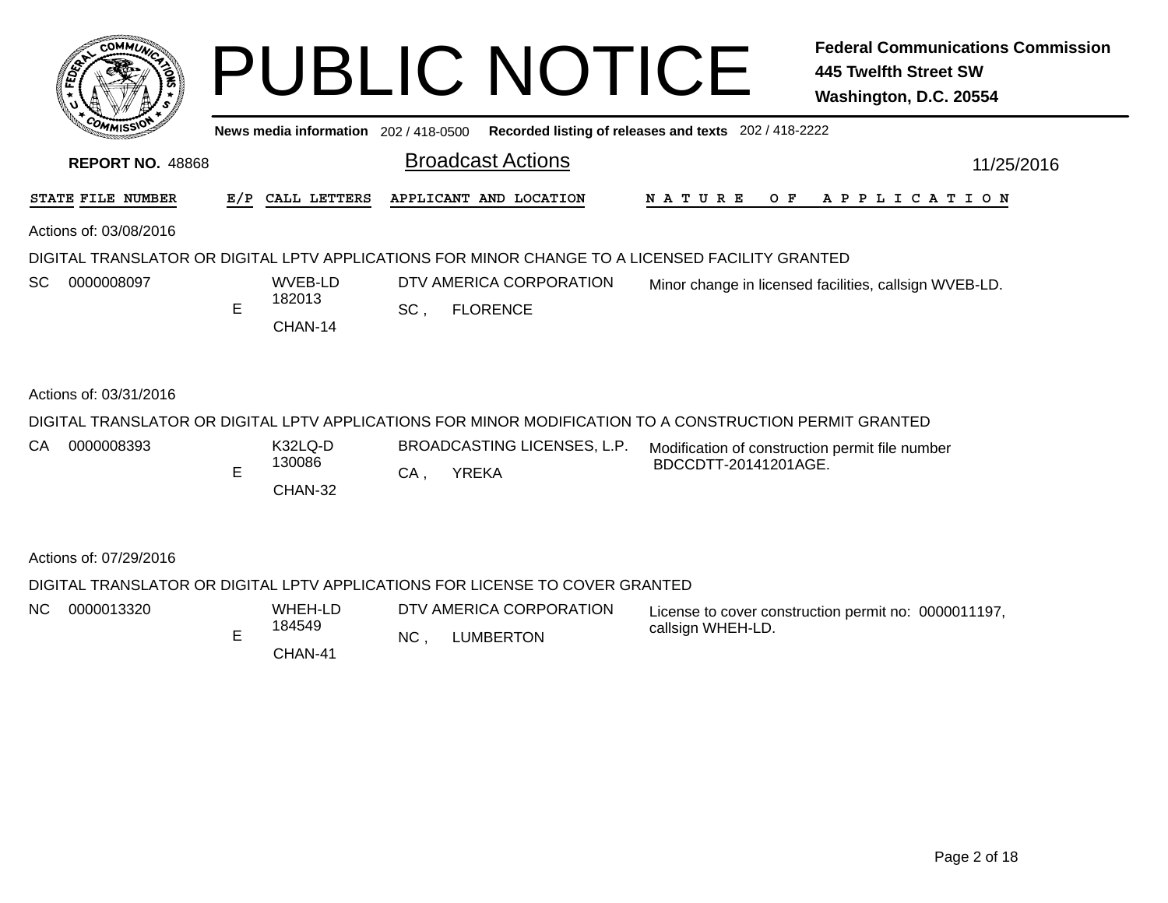| <b>COMMUT</b>           |   |                              | <b>PUBLIC NOTICE</b>                                                                                                                                 |                      | <b>Federal Communications Commission</b><br><b>445 Twelfth Street SW</b><br>Washington, D.C. 20554 |
|-------------------------|---|------------------------------|------------------------------------------------------------------------------------------------------------------------------------------------------|----------------------|----------------------------------------------------------------------------------------------------|
|                         |   |                              | News media information 202 / 418-0500 Recorded listing of releases and texts 202 / 418-2222                                                          |                      |                                                                                                    |
| <b>REPORT NO. 48868</b> |   |                              | <b>Broadcast Actions</b>                                                                                                                             |                      | 11/25/2016                                                                                         |
| STATE FILE NUMBER       |   | E/P CALL LETTERS             | APPLICANT AND LOCATION                                                                                                                               | N A T U R E          | OF APPLICATION                                                                                     |
| Actions of: 03/08/2016  |   |                              |                                                                                                                                                      |                      |                                                                                                    |
| SC<br>0000008097        | E | WVEB-LD<br>182013<br>CHAN-14 | DIGITAL TRANSLATOR OR DIGITAL LPTV APPLICATIONS FOR MINOR CHANGE TO A LICENSED FACILITY GRANTED<br>DTV AMERICA CORPORATION<br>SC,<br><b>FLORENCE</b> |                      | Minor change in licensed facilities, callsign WVEB-LD.                                             |
| Actions of: 03/31/2016  |   |                              |                                                                                                                                                      |                      |                                                                                                    |
|                         |   |                              | DIGITAL TRANSLATOR OR DIGITAL LPTV APPLICATIONS FOR MINOR MODIFICATION TO A CONSTRUCTION PERMIT GRANTED                                              |                      |                                                                                                    |
| CA<br>0000008393        | E | K32LQ-D<br>130086<br>CHAN-32 | BROADCASTING LICENSES, L.P.<br><b>YREKA</b><br>$CA$ .                                                                                                | BDCCDTT-20141201AGE. | Modification of construction permit file number                                                    |
| Actions of: 07/29/2016  |   |                              |                                                                                                                                                      |                      |                                                                                                    |
|                         |   |                              | DIGITAL TRANSLATOR OR DIGITAL LPTV APPLICATIONS FOR LICENSE TO COVER GRANTED                                                                         |                      |                                                                                                    |
| NC<br>0000013320        | Е | WHEH-LD<br>184549<br>CHAN-41 | DTV AMERICA CORPORATION<br>NC,<br><b>LUMBERTON</b>                                                                                                   | callsign WHEH-LD.    | License to cover construction permit no: 0000011197,                                               |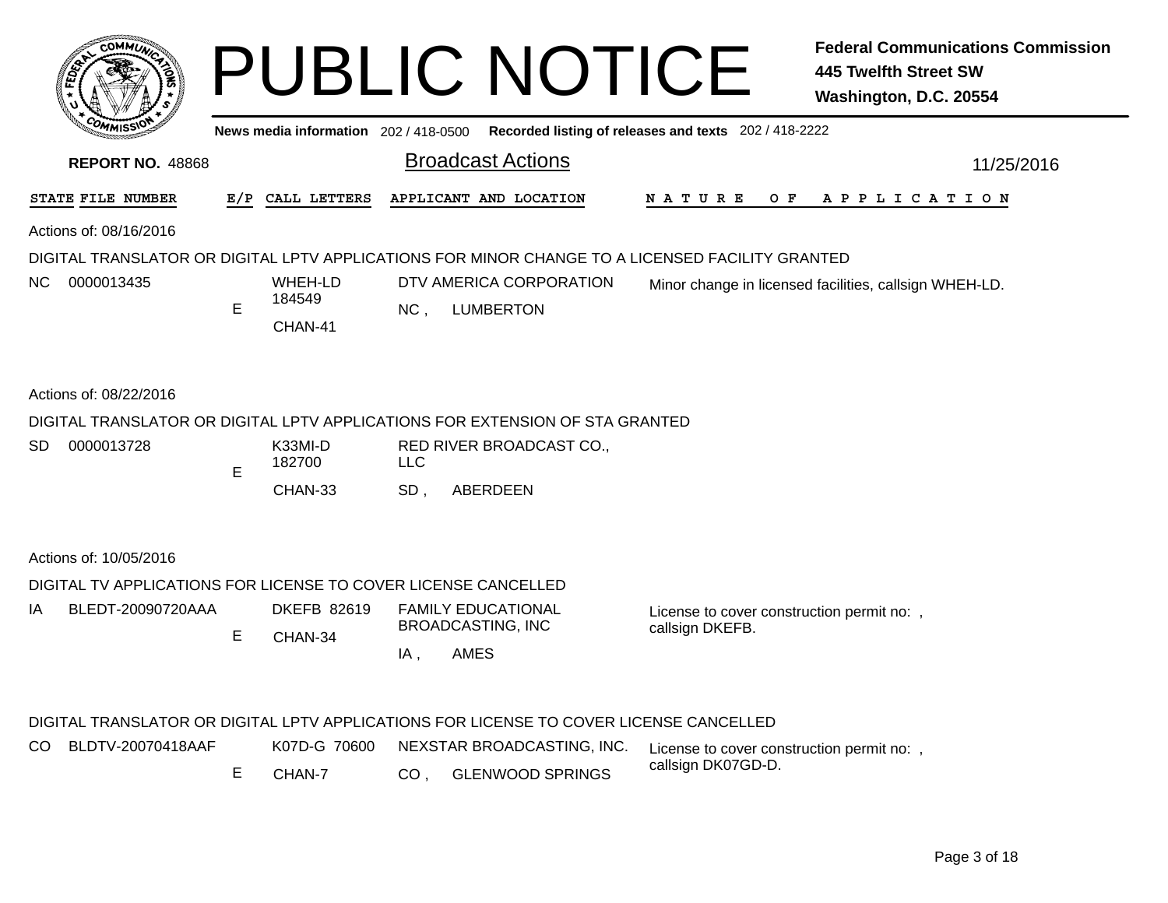|     | <b>COMMUT</b>                                                                                                             |     |                                       |                 | <b>PUBLIC NOTICE</b>                                                                   |                                                               | <b>Federal Communications Commission</b><br><b>445 Twelfth Street SW</b><br>Washington, D.C. 20554 |
|-----|---------------------------------------------------------------------------------------------------------------------------|-----|---------------------------------------|-----------------|----------------------------------------------------------------------------------------|---------------------------------------------------------------|----------------------------------------------------------------------------------------------------|
|     |                                                                                                                           |     | News media information 202 / 418-0500 |                 |                                                                                        | Recorded listing of releases and texts 202 / 418-2222         |                                                                                                    |
|     | <b>REPORT NO. 48868</b>                                                                                                   |     |                                       |                 | <b>Broadcast Actions</b>                                                               |                                                               | 11/25/2016                                                                                         |
|     | STATE FILE NUMBER                                                                                                         | E/P | CALL LETTERS                          |                 | APPLICANT AND LOCATION                                                                 | N A T U R E                                                   | OF APPLICATION                                                                                     |
|     | Actions of: 08/16/2016<br>DIGITAL TRANSLATOR OR DIGITAL LPTV APPLICATIONS FOR MINOR CHANGE TO A LICENSED FACILITY GRANTED |     |                                       |                 |                                                                                        |                                                               |                                                                                                    |
| NC. | 0000013435                                                                                                                | E   | WHEH-LD<br>184549<br>CHAN-41          | NC,             | DTV AMERICA CORPORATION<br><b>LUMBERTON</b>                                            |                                                               | Minor change in licensed facilities, callsign WHEH-LD.                                             |
|     | Actions of: 08/22/2016                                                                                                    |     |                                       |                 |                                                                                        |                                                               |                                                                                                    |
|     |                                                                                                                           |     |                                       |                 | DIGITAL TRANSLATOR OR DIGITAL LPTV APPLICATIONS FOR EXTENSION OF STA GRANTED           |                                                               |                                                                                                    |
| SD. | 0000013728                                                                                                                |     | K33MI-D<br>182700                     | <b>LLC</b>      | RED RIVER BROADCAST CO.,                                                               |                                                               |                                                                                                    |
|     |                                                                                                                           | E   | CHAN-33                               | SD,             | ABERDEEN                                                                               |                                                               |                                                                                                    |
|     | Actions of: 10/05/2016                                                                                                    |     |                                       |                 |                                                                                        |                                                               |                                                                                                    |
|     | DIGITAL TV APPLICATIONS FOR LICENSE TO COVER LICENSE CANCELLED                                                            |     |                                       |                 |                                                                                        |                                                               |                                                                                                    |
| IA  | BLEDT-20090720AAA                                                                                                         | E   | <b>DKEFB 82619</b>                    |                 | <b>FAMILY EDUCATIONAL</b><br><b>BROADCASTING, INC</b>                                  | License to cover construction permit no: ,<br>callsign DKEFB. |                                                                                                    |
|     |                                                                                                                           |     | CHAN-34                               | IA,             | <b>AMES</b>                                                                            |                                                               |                                                                                                    |
|     |                                                                                                                           |     |                                       |                 | DIGITAL TRANSLATOR OR DIGITAL LPTV APPLICATIONS FOR LICENSE TO COVER LICENSE CANCELLED |                                                               |                                                                                                    |
| CO. | BLDTV-20070418AAF                                                                                                         |     | K07D-G 70600                          |                 | NEXSTAR BROADCASTING, INC.                                                             | License to cover construction permit no:,                     |                                                                                                    |
|     |                                                                                                                           | Е   | CHAN-7                                | CO <sub>1</sub> | <b>GLENWOOD SPRINGS</b>                                                                | callsign DK07GD-D.                                            |                                                                                                    |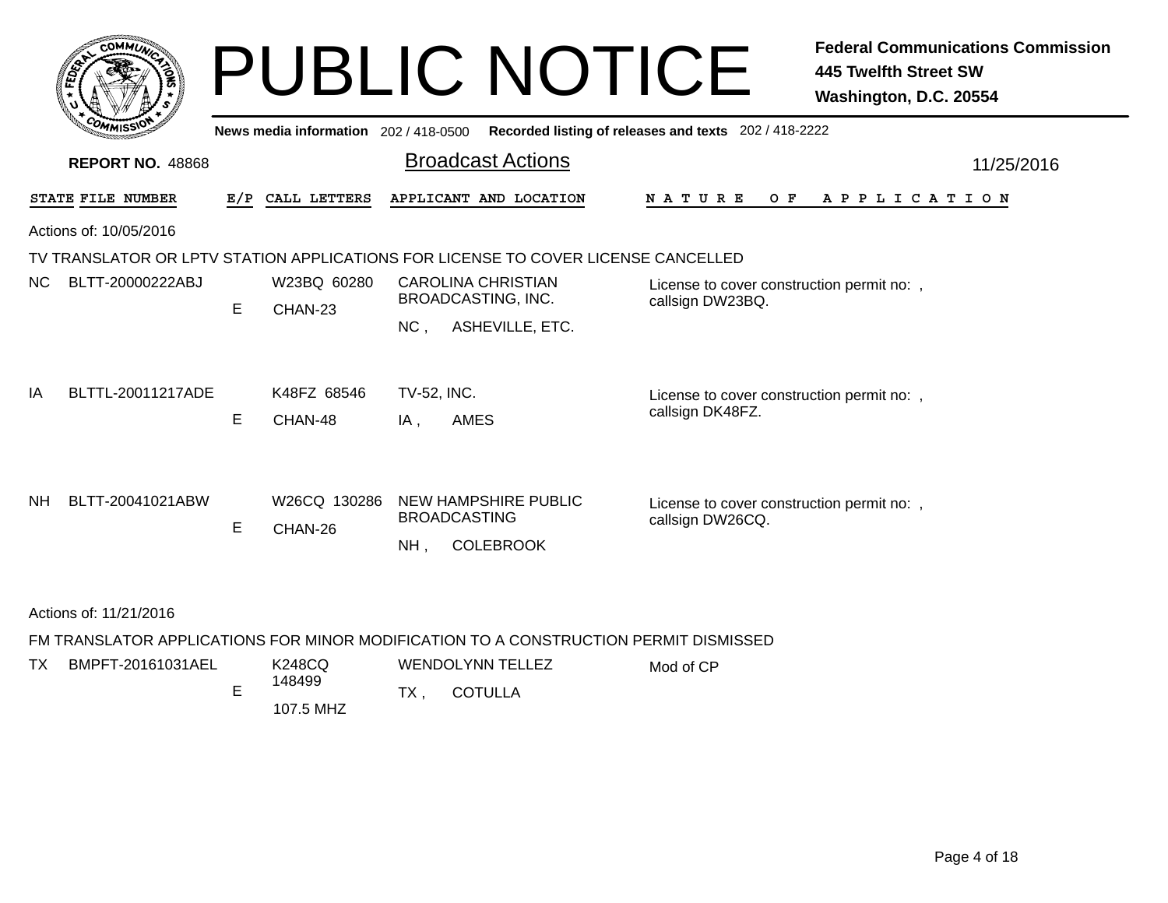|     |                                                                   |     |                                       | <b>PUBLIC NOTICE</b>                                                                |                                                                | <b>Federal Communications Commission</b><br><b>445 Twelfth Street SW</b><br>Washington, D.C. 20554 |  |  |  |
|-----|-------------------------------------------------------------------|-----|---------------------------------------|-------------------------------------------------------------------------------------|----------------------------------------------------------------|----------------------------------------------------------------------------------------------------|--|--|--|
|     |                                                                   |     | News media information 202 / 418-0500 |                                                                                     | Recorded listing of releases and texts 202 / 418-2222          |                                                                                                    |  |  |  |
|     | <b>Broadcast Actions</b><br><b>REPORT NO. 48868</b><br>11/25/2016 |     |                                       |                                                                                     |                                                                |                                                                                                    |  |  |  |
|     | STATE FILE NUMBER                                                 | E/P | CALL LETTERS                          | APPLICANT AND LOCATION                                                              | <b>NATURE</b><br>O F                                           | A P P L I C A T I O N                                                                              |  |  |  |
|     | Actions of: 10/05/2016                                            |     |                                       |                                                                                     |                                                                |                                                                                                    |  |  |  |
|     |                                                                   |     |                                       | TV TRANSLATOR OR LPTV STATION APPLICATIONS FOR LICENSE TO COVER LICENSE CANCELLED   |                                                                |                                                                                                    |  |  |  |
| NC. | BLTT-20000222ABJ                                                  | E   | W23BQ 60280<br>CHAN-23                | <b>CAROLINA CHRISTIAN</b><br><b>BROADCASTING, INC.</b><br>ASHEVILLE, ETC.<br>$NC$ . | License to cover construction permit no:,<br>callsign DW23BQ.  |                                                                                                    |  |  |  |
| IA  | BLTTL-20011217ADE                                                 | E   | K48FZ 68546<br>CHAN-48                | TV-52, INC.<br><b>AMES</b><br>IA.                                                   | License to cover construction permit no: ,<br>callsign DK48FZ. |                                                                                                    |  |  |  |
| NH. | BLTT-20041021ABW                                                  | E   | W26CQ 130286<br>CHAN-26               | NEW HAMPSHIRE PUBLIC<br><b>BROADCASTING</b><br><b>COLEBROOK</b><br>NH.              | License to cover construction permit no: ,<br>callsign DW26CQ. |                                                                                                    |  |  |  |

Mod of CP

Actions of: 11/21/2016

TX

FM TRANSLATOR APPLICATIONS FOR MINOR MODIFICATION TO A CONSTRUCTION PERMIT DISMISSED

, COTULLA TX 107.5 MHZ EK248CQWENDOLYNN TELLEZ 148499 BMPFT-20161031AEL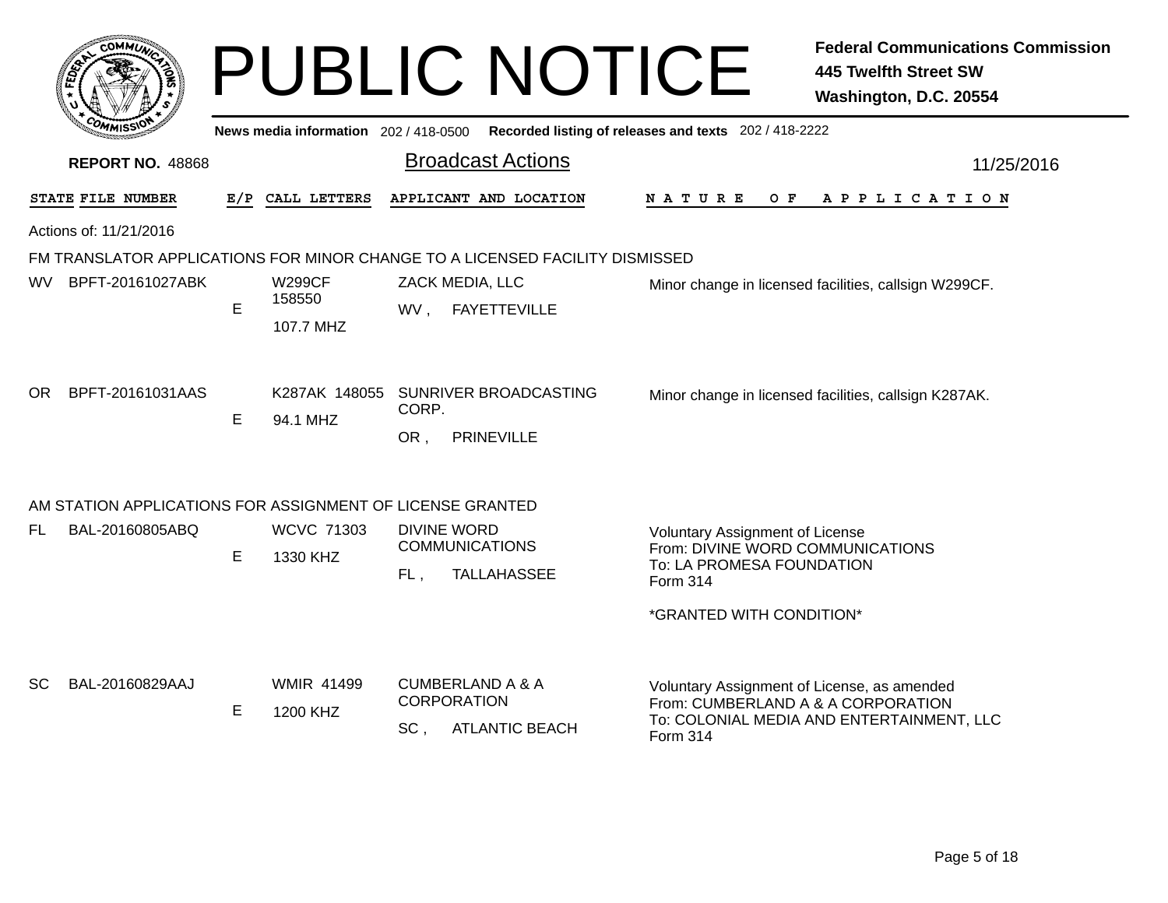|     |                                                           |   |                                       | <b>PUBLIC NOTICE</b>                                                              |                                                                                                                     | <b>Federal Communications Commission</b><br><b>445 Twelfth Street SW</b><br>Washington, D.C. 20554 |
|-----|-----------------------------------------------------------|---|---------------------------------------|-----------------------------------------------------------------------------------|---------------------------------------------------------------------------------------------------------------------|----------------------------------------------------------------------------------------------------|
|     |                                                           |   | News media information 202 / 418-0500 |                                                                                   | Recorded listing of releases and texts 202 / 418-2222                                                               |                                                                                                    |
|     | <b>REPORT NO. 48868</b>                                   |   |                                       | <b>Broadcast Actions</b>                                                          |                                                                                                                     | 11/25/2016                                                                                         |
|     | STATE FILE NUMBER                                         |   | E/P CALL LETTERS                      | APPLICANT AND LOCATION                                                            | N A T U R E<br>O F                                                                                                  | A P P L I C A T I O N                                                                              |
|     | Actions of: 11/21/2016                                    |   |                                       |                                                                                   |                                                                                                                     |                                                                                                    |
|     |                                                           |   |                                       | FM TRANSLATOR APPLICATIONS FOR MINOR CHANGE TO A LICENSED FACILITY DISMISSED      |                                                                                                                     |                                                                                                    |
| WV. | BPFT-20161027ABK                                          | E | <b>W299CF</b><br>158550<br>107.7 MHZ  | ZACK MEDIA, LLC<br><b>FAYETTEVILLE</b><br>WV,                                     |                                                                                                                     | Minor change in licensed facilities, callsign W299CF.                                              |
| OR. | BPFT-20161031AAS                                          | E | 94.1 MHZ                              | K287AK 148055 SUNRIVER BROADCASTING<br>CORP.<br><b>PRINEVILLE</b><br>OR,          |                                                                                                                     | Minor change in licensed facilities, callsign K287AK.                                              |
|     | AM STATION APPLICATIONS FOR ASSIGNMENT OF LICENSE GRANTED |   |                                       |                                                                                   |                                                                                                                     |                                                                                                    |
| FL. | BAL-20160805ABQ                                           | E | <b>WCVC 71303</b><br>1330 KHZ         | <b>DIVINE WORD</b><br><b>COMMUNICATIONS</b><br>FL.<br><b>TALLAHASSEE</b>          | <b>Voluntary Assignment of License</b><br>From: DIVINE WORD COMMUNICATIONS<br>To: LA PROMESA FOUNDATION<br>Form 314 |                                                                                                    |
|     |                                                           |   |                                       |                                                                                   | *GRANTED WITH CONDITION*                                                                                            |                                                                                                    |
| SC. | BAL-20160829AAJ                                           | E | <b>WMIR 41499</b><br>1200 KHZ         | <b>CUMBERLAND A &amp; A</b><br><b>CORPORATION</b><br>SC.<br><b>ATLANTIC BEACH</b> | Voluntary Assignment of License, as amended<br>From: CUMBERLAND A & A CORPORATION<br>Form 314                       | To: COLONIAL MEDIA AND ENTERTAINMENT, LLC                                                          |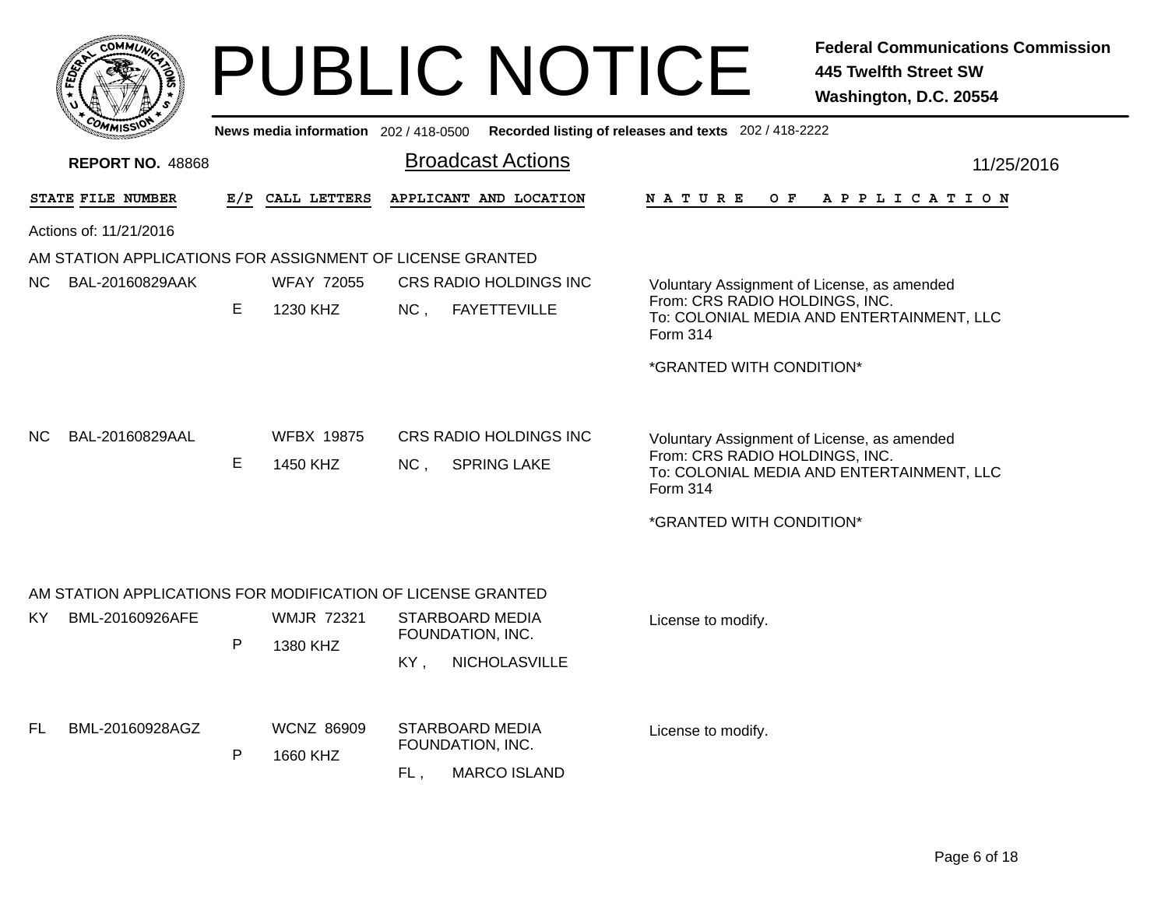|     |                         |    |                                       | <b>PUBLIC NOTICE</b>                                                     | <b>Federal Communications Commission</b><br><b>445 Twelfth Street SW</b><br>Washington, D.C. 20554                                                                 |
|-----|-------------------------|----|---------------------------------------|--------------------------------------------------------------------------|--------------------------------------------------------------------------------------------------------------------------------------------------------------------|
|     |                         |    | News media information 202 / 418-0500 |                                                                          | Recorded listing of releases and texts 202 / 418-2222                                                                                                              |
|     | <b>REPORT NO. 48868</b> |    |                                       | <b>Broadcast Actions</b>                                                 | 11/25/2016                                                                                                                                                         |
|     | STATE FILE NUMBER       |    | E/P CALL LETTERS                      | APPLICANT AND LOCATION                                                   | N A T U R E<br>O F<br>A P P L I C A T I O N                                                                                                                        |
|     | Actions of: 11/21/2016  |    |                                       |                                                                          |                                                                                                                                                                    |
|     |                         |    |                                       | AM STATION APPLICATIONS FOR ASSIGNMENT OF LICENSE GRANTED                |                                                                                                                                                                    |
| NC. | BAL-20160829AAK         | E. | <b>WFAY 72055</b><br>1230 KHZ         | CRS RADIO HOLDINGS INC<br><b>FAYETTEVILLE</b><br>NC <sub>1</sub>         | Voluntary Assignment of License, as amended<br>From: CRS RADIO HOLDINGS, INC.<br>To: COLONIAL MEDIA AND ENTERTAINMENT, LLC<br>Form 314                             |
|     |                         |    |                                       |                                                                          | *GRANTED WITH CONDITION*                                                                                                                                           |
| NC. | BAL-20160829AAL         | E. | <b>WFBX 19875</b><br>1450 KHZ         | CRS RADIO HOLDINGS INC<br>NC <sub>1</sub><br><b>SPRING LAKE</b>          | Voluntary Assignment of License, as amended<br>From: CRS RADIO HOLDINGS, INC.<br>To: COLONIAL MEDIA AND ENTERTAINMENT, LLC<br>Form 314<br>*GRANTED WITH CONDITION* |
|     |                         |    |                                       | AM STATION APPLICATIONS FOR MODIFICATION OF LICENSE GRANTED              |                                                                                                                                                                    |
| KY. | BML-20160926AFE         | P  | <b>WMJR 72321</b><br>1380 KHZ         | STARBOARD MEDIA<br>FOUNDATION, INC.<br>KY,<br>NICHOLASVILLE              | License to modify.                                                                                                                                                 |
| FL. | BML-20160928AGZ         | P  | <b>WCNZ 86909</b><br>1660 KHZ         | <b>STARBOARD MEDIA</b><br>FOUNDATION, INC.<br><b>MARCO ISLAND</b><br>FL. | License to modify.                                                                                                                                                 |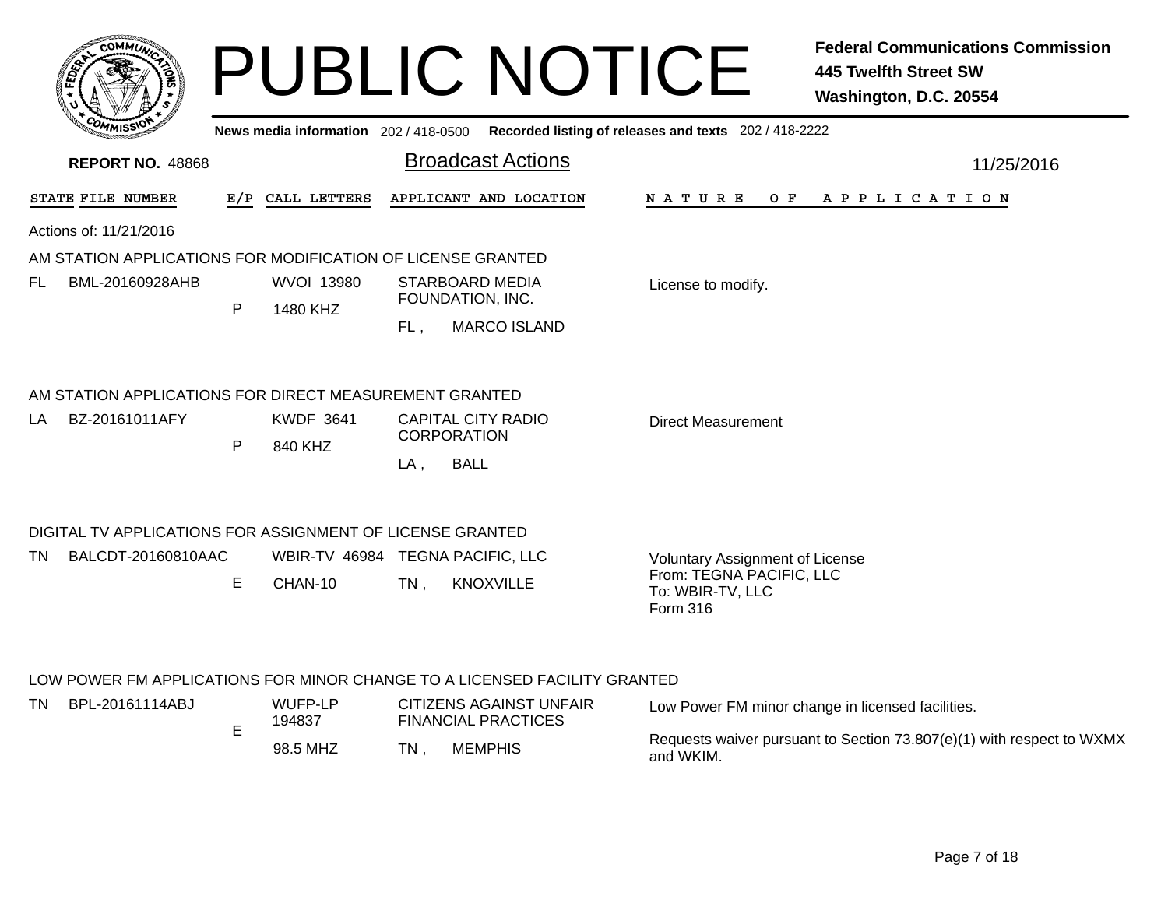|      | <b>COMMU</b>                                                |   | News media information 202 / 418-0500 |                                          | <b>PUBLIC NOTICE</b>                                                      | Recorded listing of releases and texts 202 / 418-2222    | <b>Federal Communications Commission</b><br><b>445 Twelfth Street SW</b><br>Washington, D.C. 20554 |
|------|-------------------------------------------------------------|---|---------------------------------------|------------------------------------------|---------------------------------------------------------------------------|----------------------------------------------------------|----------------------------------------------------------------------------------------------------|
|      | <b>REPORT NO. 48868</b>                                     |   |                                       |                                          | <b>Broadcast Actions</b>                                                  |                                                          | 11/25/2016                                                                                         |
|      | STATE FILE NUMBER                                           |   | E/P CALL LETTERS                      |                                          | APPLICANT AND LOCATION                                                    | N A T U R E<br>O F                                       | A P P L I C A T I O N                                                                              |
|      | Actions of: 11/21/2016                                      |   |                                       |                                          |                                                                           |                                                          |                                                                                                    |
|      | AM STATION APPLICATIONS FOR MODIFICATION OF LICENSE GRANTED |   |                                       |                                          |                                                                           |                                                          |                                                                                                    |
| FL.  | BML-20160928AHB                                             | P | <b>WVOI 13980</b><br>1480 KHZ         |                                          | <b>STARBOARD MEDIA</b><br>FOUNDATION, INC.                                | License to modify.                                       |                                                                                                    |
|      |                                                             |   |                                       | FL,                                      | <b>MARCO ISLAND</b>                                                       |                                                          |                                                                                                    |
|      | AM STATION APPLICATIONS FOR DIRECT MEASUREMENT GRANTED      |   |                                       |                                          |                                                                           |                                                          |                                                                                                    |
| LA   | BZ-20161011AFY                                              |   | <b>KWDF 3641</b>                      | CAPITAL CITY RADIO<br><b>CORPORATION</b> |                                                                           | <b>Direct Measurement</b>                                |                                                                                                    |
|      |                                                             | P | 840 KHZ                               | $LA$ ,                                   | <b>BALL</b>                                                               |                                                          |                                                                                                    |
|      | DIGITAL TV APPLICATIONS FOR ASSIGNMENT OF LICENSE GRANTED   |   |                                       |                                          |                                                                           |                                                          |                                                                                                    |
| TN.  | BALCDT-20160810AAC                                          |   | WBIR-TV 46984 TEGNA PACIFIC, LLC      |                                          |                                                                           | <b>Voluntary Assignment of License</b>                   |                                                                                                    |
|      |                                                             | E | CHAN-10                               | TN.                                      | <b>KNOXVILLE</b>                                                          | From: TEGNA PACIFIC, LLC<br>To: WBIR-TV, LLC<br>Form 316 |                                                                                                    |
|      |                                                             |   |                                       |                                          | LOW POWER FM APPLICATIONS FOR MINOR CHANGE TO A LICENSED FACILITY GRANTED |                                                          |                                                                                                    |
| TN . | BPL-20161114ABJ                                             |   | WUFP-LP                               |                                          | <b>CITIZENS AGAINST UNFAIR</b>                                            |                                                          | Low Power FM minor change in licensed facilities.                                                  |

| 20161114ABJ | WUFF-LP<br>194837 | CHIZENS AGAINST UNFAIR<br><b>FINANCIAL PRACTICES</b> | Low Power FM minor change in licensed facilities.                                  |
|-------------|-------------------|------------------------------------------------------|------------------------------------------------------------------------------------|
|             | 98.5 MHZ          | <b>MEMPHIS</b><br>TN                                 | Requests waiver pursuant to Section 73.807(e)(1) with respect to WXMX<br>and WKIM. |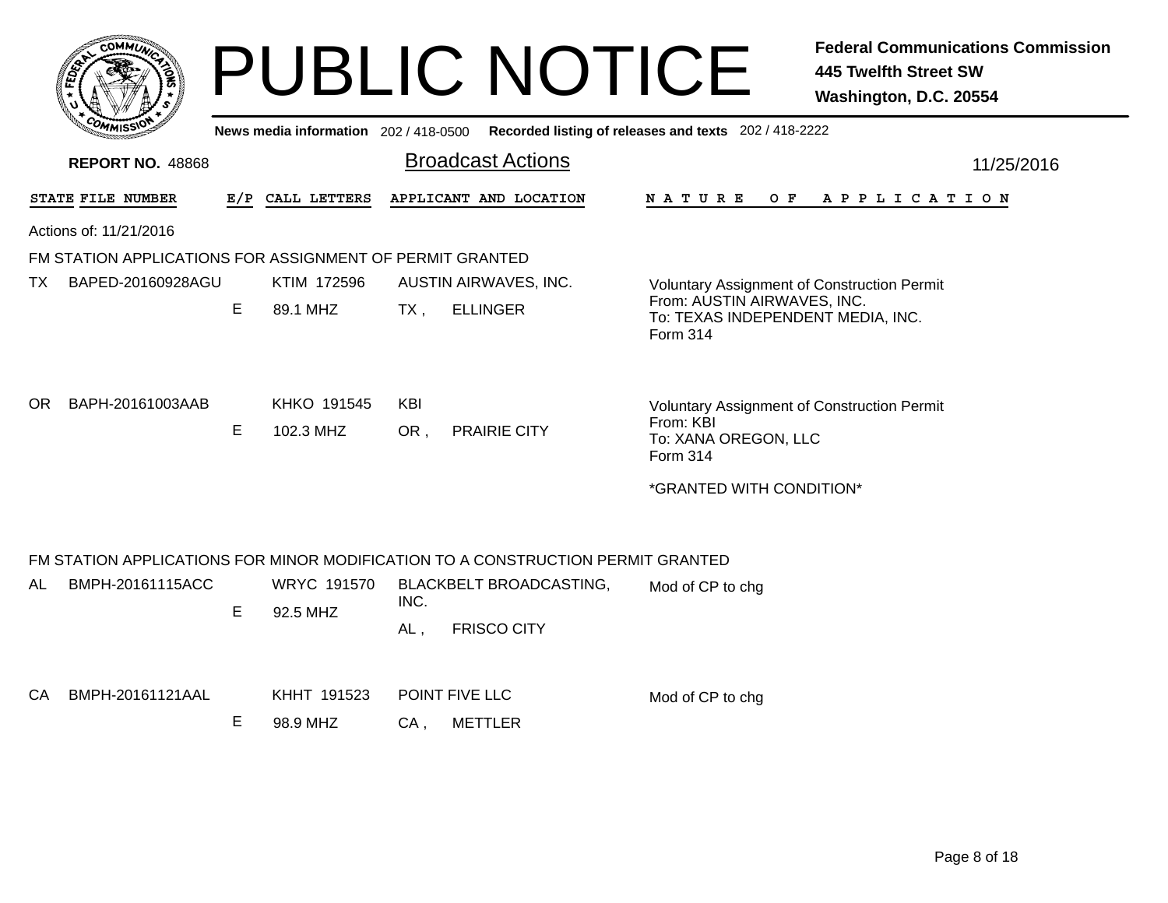|     |                                                          |   | News media information 202 / 418-0500 |                   | <b>PUBLIC NOTICE</b>                                                            | Recorded listing of releases and texts 202 / 418-2222                                               | <b>Federal Communications Commission</b><br><b>445 Twelfth Street SW</b><br>Washington, D.C. 20554 |
|-----|----------------------------------------------------------|---|---------------------------------------|-------------------|---------------------------------------------------------------------------------|-----------------------------------------------------------------------------------------------------|----------------------------------------------------------------------------------------------------|
|     | <b>REPORT NO. 48868</b>                                  |   |                                       |                   | <b>Broadcast Actions</b>                                                        |                                                                                                     | 11/25/2016                                                                                         |
|     | STATE FILE NUMBER                                        |   | E/P CALL LETTERS                      |                   | APPLICANT AND LOCATION                                                          | N A T U R E<br>O F                                                                                  | A P P L I C A T I O N                                                                              |
|     | Actions of: 11/21/2016                                   |   |                                       |                   |                                                                                 |                                                                                                     |                                                                                                    |
|     | FM STATION APPLICATIONS FOR ASSIGNMENT OF PERMIT GRANTED |   |                                       |                   |                                                                                 |                                                                                                     |                                                                                                    |
| TX. | BAPED-20160928AGU                                        |   | KTIM 172596                           |                   | AUSTIN AIRWAVES, INC.                                                           | <b>Voluntary Assignment of Construction Permit</b>                                                  |                                                                                                    |
|     |                                                          | Е | 89.1 MHZ                              | $TX$ ,            | <b>ELLINGER</b>                                                                 | From: AUSTIN AIRWAVES, INC.<br>To: TEXAS INDEPENDENT MEDIA, INC.<br>Form 314                        |                                                                                                    |
| OR. | BAPH-20161003AAB                                         | E | KHKO 191545<br>102.3 MHZ              | <b>KBI</b><br>OR, | <b>PRAIRIE CITY</b>                                                             | <b>Voluntary Assignment of Construction Permit</b><br>From: KBI<br>To: XANA OREGON, LLC<br>Form 314 |                                                                                                    |
|     |                                                          |   |                                       |                   |                                                                                 | *GRANTED WITH CONDITION*                                                                            |                                                                                                    |
|     |                                                          |   |                                       |                   | FM STATION APPLICATIONS FOR MINOR MODIFICATION TO A CONSTRUCTION PERMIT GRANTED |                                                                                                     |                                                                                                    |
| AL. | BMPH-20161115ACC                                         | Е | <b>WRYC 191570</b><br>92.5 MHZ        | INC.              | <b>BLACKBELT BROADCASTING,</b>                                                  | Mod of CP to chg                                                                                    |                                                                                                    |
|     |                                                          |   |                                       | $AL$ ,            | <b>FRISCO CITY</b>                                                              |                                                                                                     |                                                                                                    |
|     | CA BMPH-20161121AAL                                      |   | KHHT 191523                           |                   | POINT FIVE LLC                                                                  | Mod of CP to chg                                                                                    |                                                                                                    |

E 98.9 MHZCA , METTLER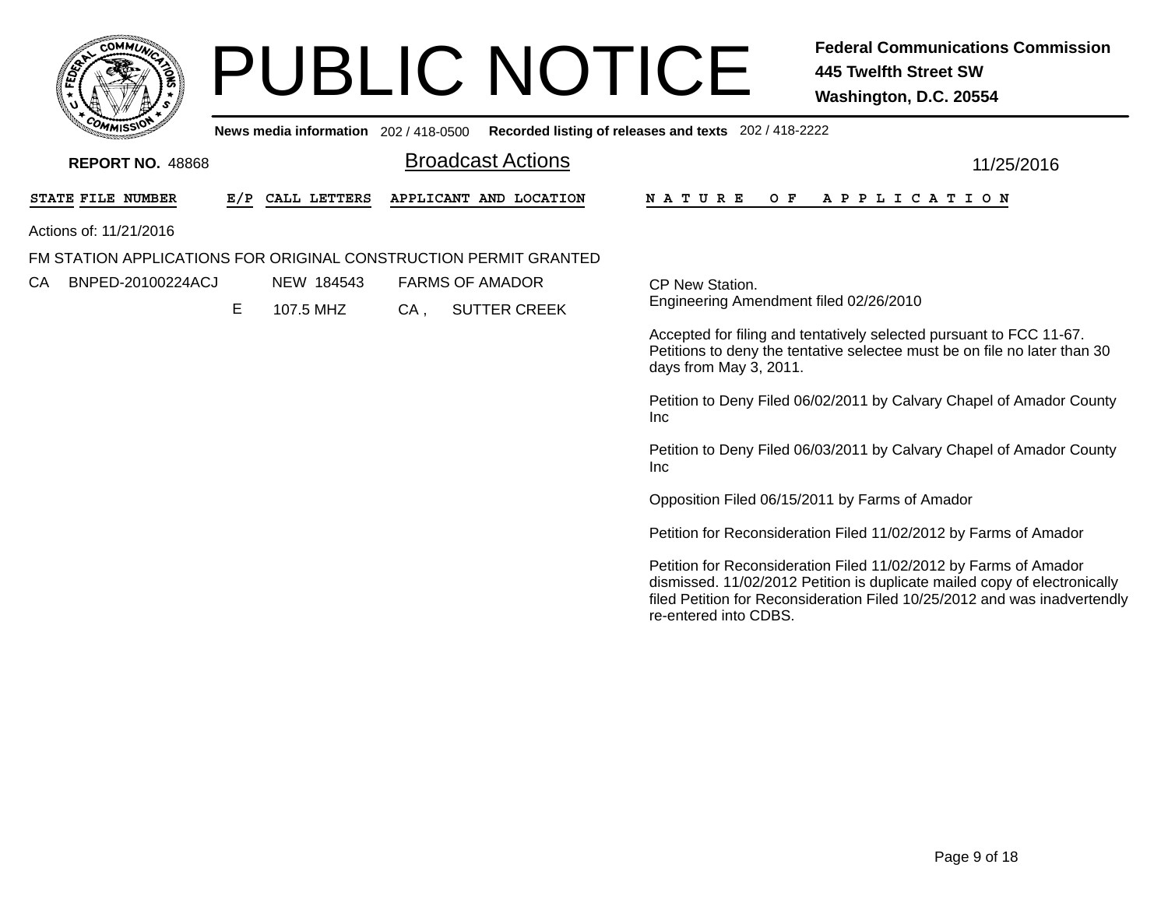|    |                        | <b>MMUNT</b><br><b>CO</b> | Ċ. |    |
|----|------------------------|---------------------------|----|----|
| ទី |                        |                           |    | ř, |
|    |                        |                           |    |    |
|    | $c_{O_{\textit{M}_1}}$ | MISS<br>muce              |    |    |

# PUBLIC NOTICE **Federal Communications Commission 445 Twelfth Street SW Washington, D.C. 20554**

**News media information** 202 / 418-0500**Recorded listing of releases and texts** 202 / 418-2222

| <b>REPORT NO. 48868</b>                                          |     |              |        | <b>Broadcast Actions</b> | 11/25/2016                                                                                                                                                                                                                                          |
|------------------------------------------------------------------|-----|--------------|--------|--------------------------|-----------------------------------------------------------------------------------------------------------------------------------------------------------------------------------------------------------------------------------------------------|
| STATE FILE NUMBER                                                | E/P | CALL LETTERS |        | APPLICANT AND LOCATION   | N A T U R E<br>O F<br>A P P L I C A T I O N                                                                                                                                                                                                         |
| Actions of: 11/21/2016                                           |     |              |        |                          |                                                                                                                                                                                                                                                     |
| FM STATION APPLICATIONS FOR ORIGINAL CONSTRUCTION PERMIT GRANTED |     |              |        |                          |                                                                                                                                                                                                                                                     |
| BNPED-20100224ACJ<br>CA                                          |     | NEW 184543   |        | <b>FARMS OF AMADOR</b>   | CP New Station.                                                                                                                                                                                                                                     |
|                                                                  | E.  | 107.5 MHZ    | $CA$ , | <b>SUTTER CREEK</b>      | Engineering Amendment filed 02/26/2010                                                                                                                                                                                                              |
|                                                                  |     |              |        |                          | Accepted for filing and tentatively selected pursuant to FCC 11-67.<br>Petitions to deny the tentative selectee must be on file no later than 30<br>days from May 3, 2011.                                                                          |
|                                                                  |     |              |        |                          | Petition to Deny Filed 06/02/2011 by Calvary Chapel of Amador County<br><b>Inc</b>                                                                                                                                                                  |
|                                                                  |     |              |        |                          | Petition to Deny Filed 06/03/2011 by Calvary Chapel of Amador County<br><b>Inc</b>                                                                                                                                                                  |
|                                                                  |     |              |        |                          | Opposition Filed 06/15/2011 by Farms of Amador                                                                                                                                                                                                      |
|                                                                  |     |              |        |                          | Petition for Reconsideration Filed 11/02/2012 by Farms of Amador                                                                                                                                                                                    |
|                                                                  |     |              |        |                          | Petition for Reconsideration Filed 11/02/2012 by Farms of Amador<br>dismissed. 11/02/2012 Petition is duplicate mailed copy of electronically<br>filed Petition for Reconsideration Filed 10/25/2012 and was inadvertendly<br>re-entered into CDBS. |
|                                                                  |     |              |        |                          |                                                                                                                                                                                                                                                     |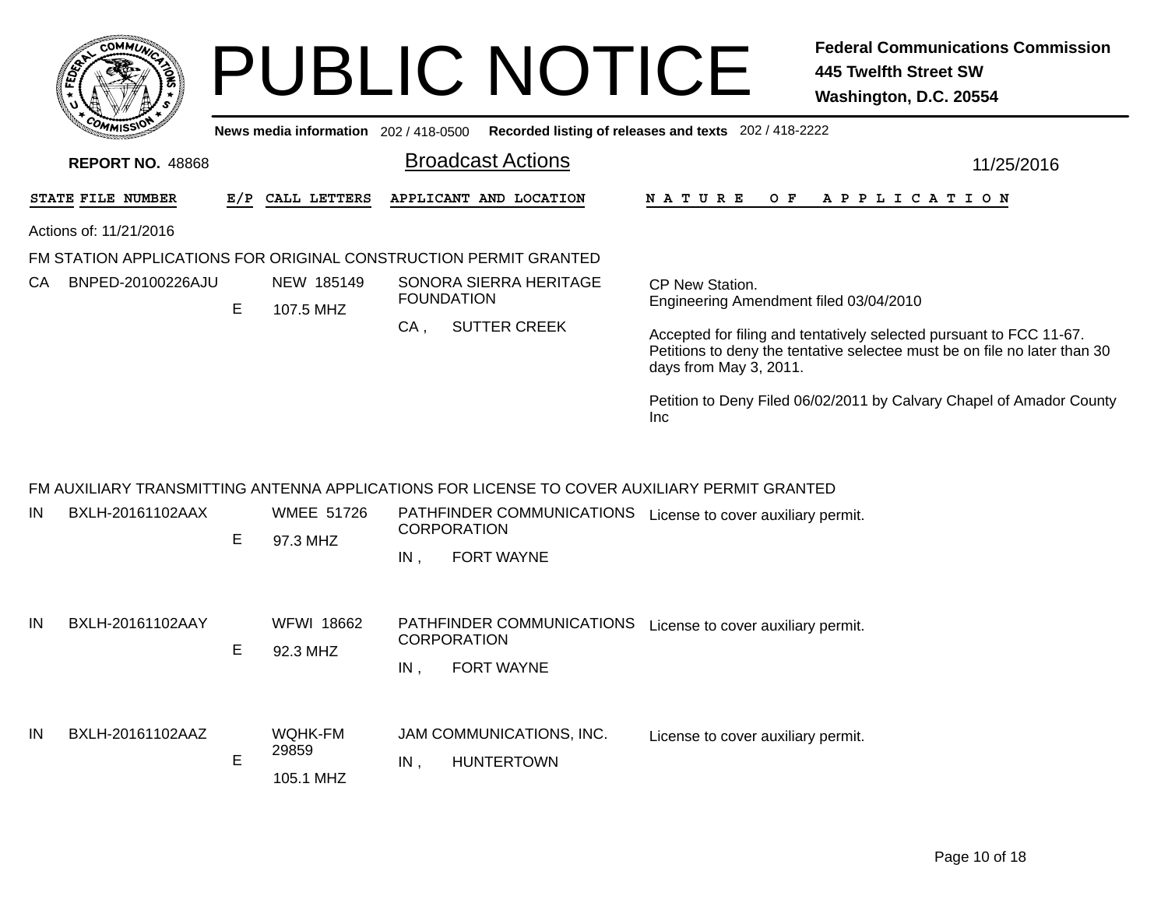|    | <b>COMMUT</b>           |             |                                       | <b>PUBLIC NOTICE</b>                                                                         | <b>Federal Communications Commission</b><br><b>445 Twelfth Street SW</b><br>Washington, D.C. 20554                                                                         |
|----|-------------------------|-------------|---------------------------------------|----------------------------------------------------------------------------------------------|----------------------------------------------------------------------------------------------------------------------------------------------------------------------------|
|    |                         |             | News media information 202 / 418-0500 |                                                                                              | Recorded listing of releases and texts 202 / 418-2222                                                                                                                      |
|    | <b>REPORT NO. 48868</b> |             |                                       | <b>Broadcast Actions</b>                                                                     | 11/25/2016                                                                                                                                                                 |
|    | STATE FILE NUMBER       |             | E/P CALL LETTERS                      | APPLICANT AND LOCATION                                                                       | N A T U R E<br>O F<br>A P P L I C A T I O N                                                                                                                                |
|    | Actions of: 11/21/2016  |             |                                       |                                                                                              |                                                                                                                                                                            |
|    |                         |             |                                       | FM STATION APPLICATIONS FOR ORIGINAL CONSTRUCTION PERMIT GRANTED                             |                                                                                                                                                                            |
| CA | BNPED-20100226AJU       | Е           | NEW 185149<br>107.5 MHZ               | SONORA SIERRA HERITAGE<br><b>FOUNDATION</b>                                                  | CP New Station.<br>Engineering Amendment filed 03/04/2010                                                                                                                  |
|    |                         |             |                                       | <b>SUTTER CREEK</b><br>$CA$ ,                                                                | Accepted for filing and tentatively selected pursuant to FCC 11-67.<br>Petitions to deny the tentative selectee must be on file no later than 30<br>days from May 3, 2011. |
|    |                         |             |                                       |                                                                                              | Petition to Deny Filed 06/02/2011 by Calvary Chapel of Amador County<br><b>Inc</b>                                                                                         |
|    |                         |             |                                       | FM AUXILIARY TRANSMITTING ANTENNA APPLICATIONS FOR LICENSE TO COVER AUXILIARY PERMIT GRANTED |                                                                                                                                                                            |
| IN | BXLH-20161102AAX        | Е           | <b>WMEE 51726</b><br>97.3 MHZ         | PATHFINDER COMMUNICATIONS License to cover auxiliary permit.<br><b>CORPORATION</b>           |                                                                                                                                                                            |
|    |                         |             |                                       | <b>FORT WAYNE</b><br>IN,                                                                     |                                                                                                                                                                            |
| IN | BXLH-20161102AAY        | Е           | <b>WFWI 18662</b><br>92.3 MHZ         | PATHFINDER COMMUNICATIONS<br><b>CORPORATION</b>                                              | License to cover auxiliary permit.                                                                                                                                         |
|    |                         |             |                                       | <b>FORT WAYNE</b><br>IN                                                                      |                                                                                                                                                                            |
| IN | BXLH-20161102AAZ        | $\mathsf E$ | <b>WQHK-FM</b><br>29859<br>105.1 MHZ  | JAM COMMUNICATIONS, INC.<br><b>HUNTERTOWN</b><br>IN,                                         | License to cover auxiliary permit.                                                                                                                                         |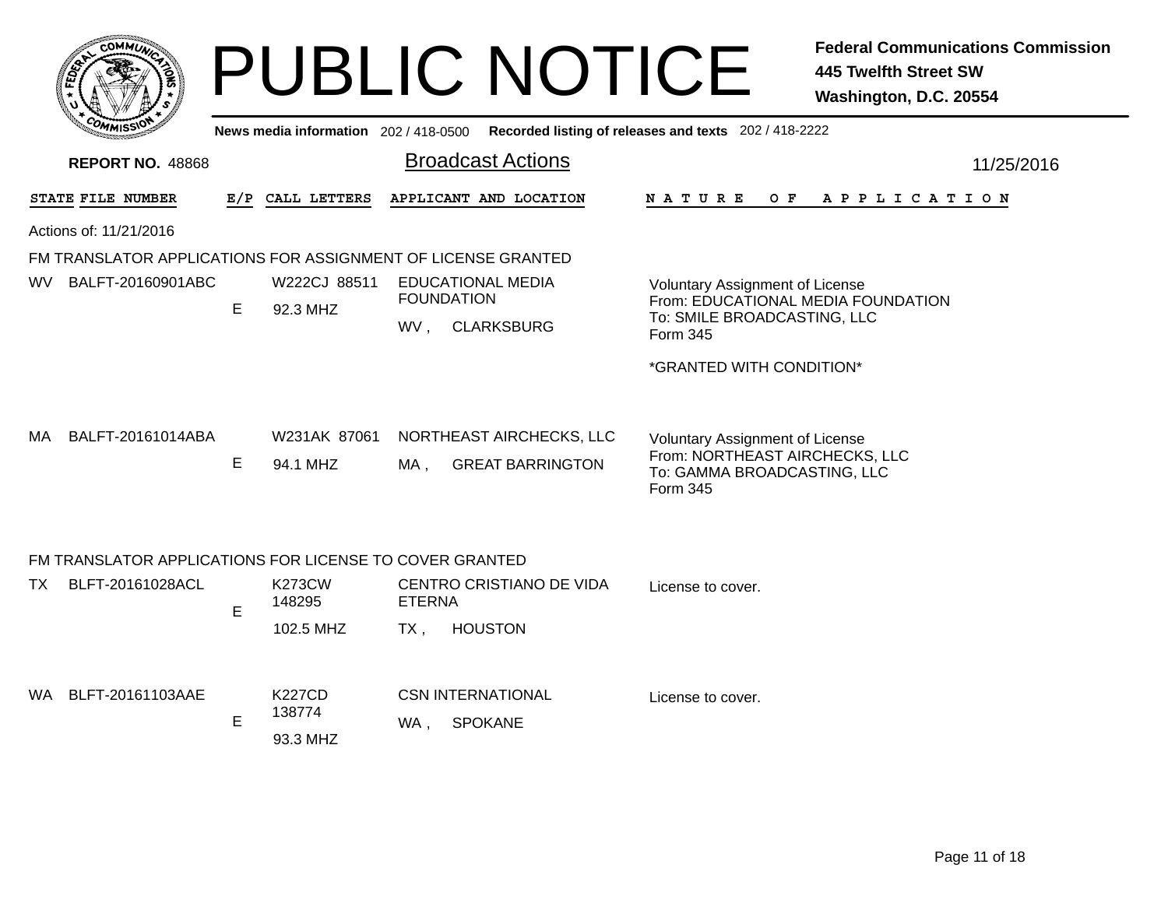|     |                                                              |   |                                     |               | <b>PUBLIC NOTICE</b>                                                                        |                                                                                                                     | <b>Federal Communications Commission</b><br><b>445 Twelfth Street SW</b><br>Washington, D.C. 20554 |
|-----|--------------------------------------------------------------|---|-------------------------------------|---------------|---------------------------------------------------------------------------------------------|---------------------------------------------------------------------------------------------------------------------|----------------------------------------------------------------------------------------------------|
|     |                                                              |   |                                     |               | News media information 202 / 418-0500 Recorded listing of releases and texts 202 / 418-2222 |                                                                                                                     |                                                                                                    |
|     | <b>REPORT NO. 48868</b>                                      |   |                                     |               | <b>Broadcast Actions</b>                                                                    |                                                                                                                     | 11/25/2016                                                                                         |
|     | STATE FILE NUMBER                                            |   | E/P CALL LETTERS                    |               | APPLICANT AND LOCATION                                                                      | N A T U R E<br>O F                                                                                                  | APPLICATION                                                                                        |
|     | Actions of: 11/21/2016                                       |   |                                     |               |                                                                                             |                                                                                                                     |                                                                                                    |
|     | FM TRANSLATOR APPLICATIONS FOR ASSIGNMENT OF LICENSE GRANTED |   |                                     |               |                                                                                             |                                                                                                                     |                                                                                                    |
| WV. | BALFT-20160901ABC                                            | E | W222CJ 88511<br>92.3 MHZ            |               | <b>EDUCATIONAL MEDIA</b><br><b>FOUNDATION</b><br>WV, CLARKSBURG                             | <b>Voluntary Assignment of License</b><br>To: SMILE BROADCASTING, LLC<br>Form 345                                   | From: EDUCATIONAL MEDIA FOUNDATION                                                                 |
|     |                                                              |   |                                     |               |                                                                                             | *GRANTED WITH CONDITION*                                                                                            |                                                                                                    |
| MA. | BALFT-20161014ABA                                            | E | W231AK 87061<br>94.1 MHZ            | MA,           | NORTHEAST AIRCHECKS, LLC<br><b>GREAT BARRINGTON</b>                                         | <b>Voluntary Assignment of License</b><br>From: NORTHEAST AIRCHECKS, LLC<br>To: GAMMA BROADCASTING, LLC<br>Form 345 |                                                                                                    |
|     | FM TRANSLATOR APPLICATIONS FOR LICENSE TO COVER GRANTED      |   |                                     |               |                                                                                             |                                                                                                                     |                                                                                                    |
| TX. | BLFT-20161028ACL                                             | E | <b>K273CW</b><br>148295             | <b>ETERNA</b> | CENTRO CRISTIANO DE VIDA                                                                    | License to cover.                                                                                                   |                                                                                                    |
|     |                                                              |   | 102.5 MHZ                           | $TX$ ,        | <b>HOUSTON</b>                                                                              |                                                                                                                     |                                                                                                    |
|     | WA BLFT-20161103AAE                                          | E | <b>K227CD</b><br>138774<br>93.3 MHZ | WA .          | <b>CSN INTERNATIONAL</b><br><b>SPOKANE</b>                                                  | License to cover.                                                                                                   |                                                                                                    |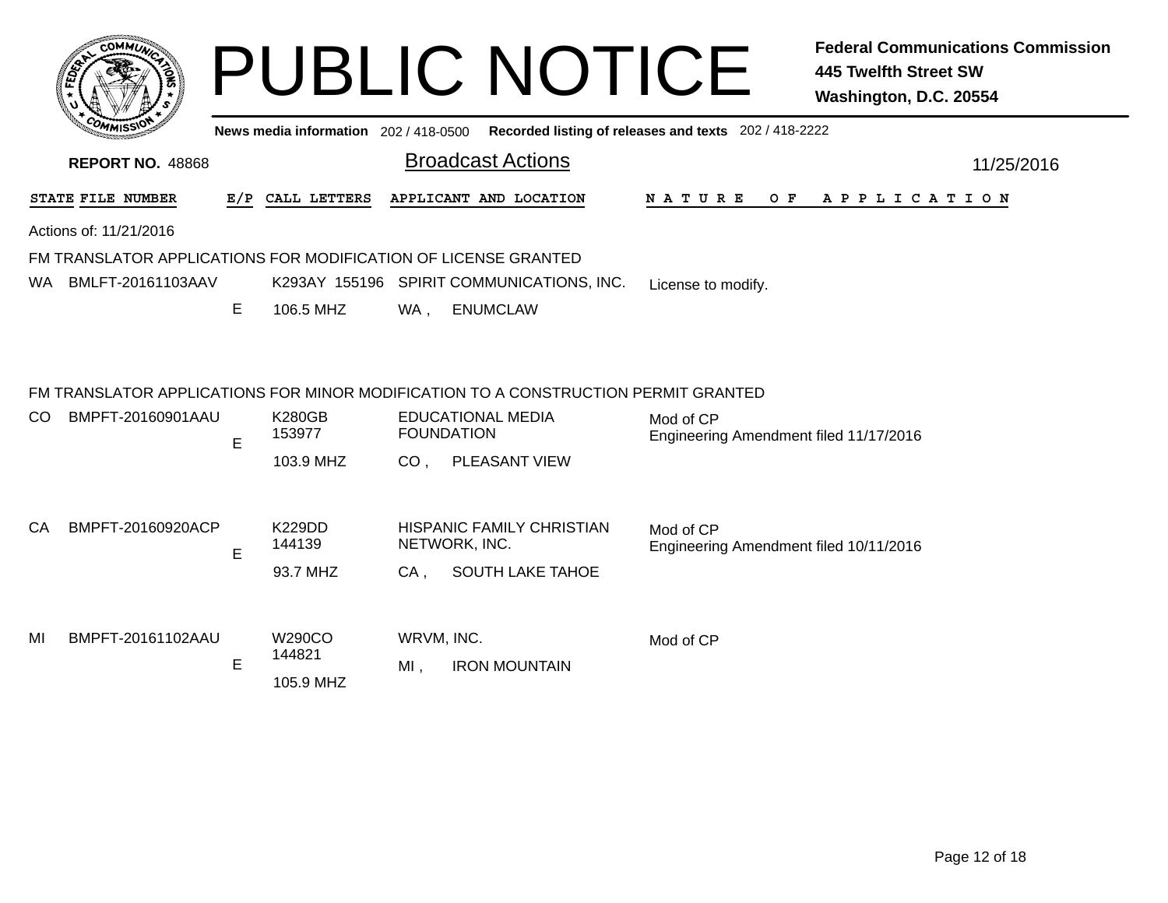| COMMUNIC                                                       |     |                                       |     | <b>PUBLIC NOTICE</b>                      |                                                       | 445 Twelfth Street SW<br>Washington, D.C. 20554 | <b>Federal Communications Commission</b> |
|----------------------------------------------------------------|-----|---------------------------------------|-----|-------------------------------------------|-------------------------------------------------------|-------------------------------------------------|------------------------------------------|
|                                                                |     | News media information 202 / 418-0500 |     |                                           | Recorded listing of releases and texts 202 / 418-2222 |                                                 |                                          |
| <b>REPORT NO. 48868</b>                                        |     |                                       |     | <b>Broadcast Actions</b>                  |                                                       |                                                 | 11/25/2016                               |
| STATE FILE NUMBER                                              | E/P | CALL LETTERS                          |     | APPLICANT AND LOCATION                    | N A T U R E<br>O F                                    | A P P L I C A T I O N                           |                                          |
| Actions of: 11/21/2016                                         |     |                                       |     |                                           |                                                       |                                                 |                                          |
| FM TRANSLATOR APPLICATIONS FOR MODIFICATION OF LICENSE GRANTED |     |                                       |     |                                           |                                                       |                                                 |                                          |
| WA<br>BMLFT-20161103AAV                                        |     |                                       |     | K293AY 155196 SPIRIT COMMUNICATIONS, INC. | License to modify.                                    |                                                 |                                          |
|                                                                | E.  | 106.5 MHZ                             | WA. | ENUMCLAW                                  |                                                       |                                                 |                                          |

#### FM TRANSLATOR APPLICATIONS FOR MINOR MODIFICATION TO A CONSTRUCTION PERMIT GRANTED

| CO. | BMPFT-20160901AAU | E | <b>K280GB</b><br>153977 | <b>EDUCATIONAL MEDIA</b><br><b>FOUNDATION</b> | Mod of CP<br>Engineering Amendment filed 11/17/2016 |
|-----|-------------------|---|-------------------------|-----------------------------------------------|-----------------------------------------------------|
|     |                   |   | 103.9 MHZ               | <b>PLEASANT VIEW</b><br>CO.                   |                                                     |
| CA  | BMPFT-20160920ACP | E | <b>K229DD</b><br>144139 | HISPANIC FAMILY CHRISTIAN<br>NETWORK, INC.    | Mod of CP<br>Engineering Amendment filed 10/11/2016 |
|     |                   |   | 93.7 MHZ                | <b>SOUTH LAKE TAHOE</b><br>CA.                |                                                     |
| MI  | BMPFT-20161102AAU |   | W290CO<br>144821        | WRVM, INC.                                    | Mod of CP                                           |
|     |                   | E | 105.9 MHZ               | MI.<br><b>IRON MOUNTAIN</b>                   |                                                     |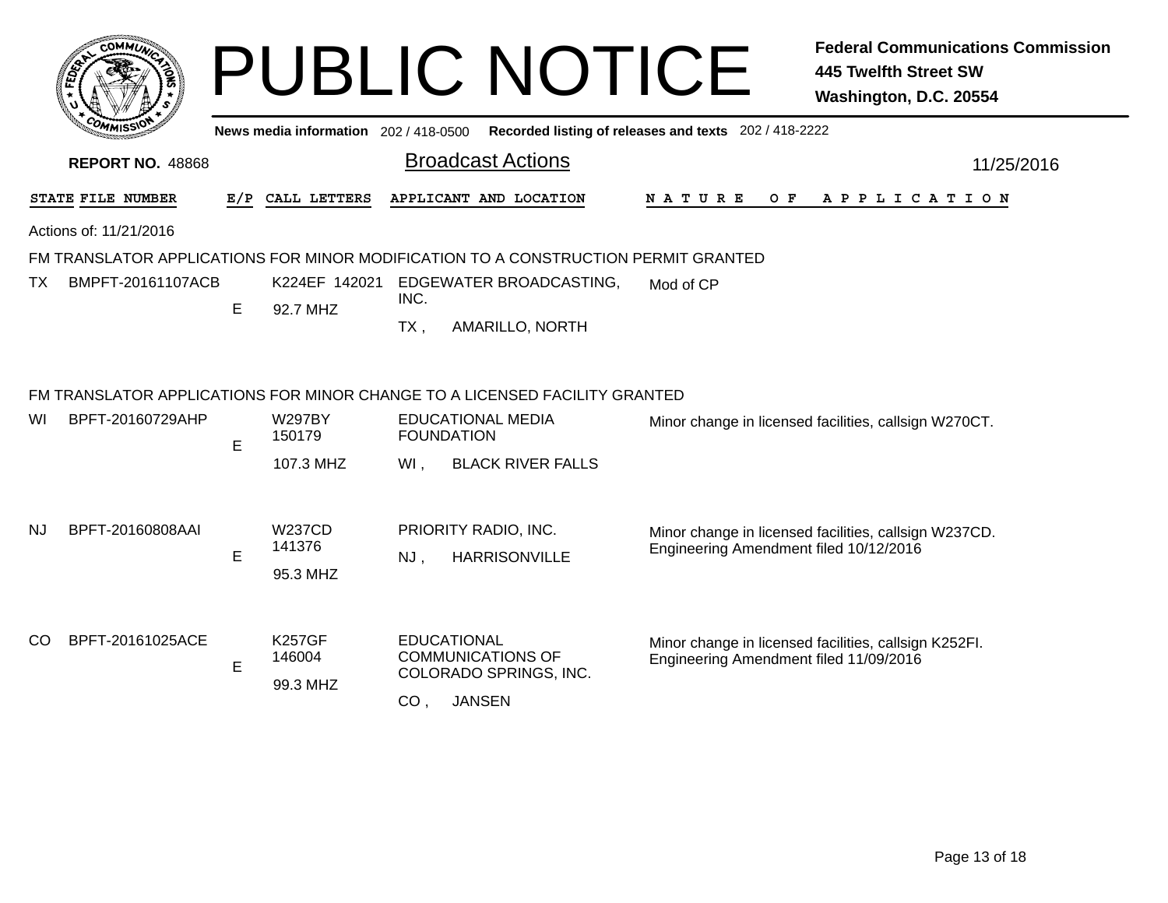|     |                         |     |                                       |                                       | <b>PUBLIC NOTICE</b>                                                               |                                                       | <b>Federal Communications Commission</b><br><b>445 Twelfth Street SW</b><br>Washington, D.C. 20554 |
|-----|-------------------------|-----|---------------------------------------|---------------------------------------|------------------------------------------------------------------------------------|-------------------------------------------------------|----------------------------------------------------------------------------------------------------|
|     |                         |     | News media information 202 / 418-0500 |                                       |                                                                                    | Recorded listing of releases and texts 202 / 418-2222 |                                                                                                    |
|     | <b>REPORT NO. 48868</b> |     |                                       |                                       | <b>Broadcast Actions</b>                                                           |                                                       | 11/25/2016                                                                                         |
|     | STATE FILE NUMBER       | E/P | CALL LETTERS                          |                                       | APPLICANT AND LOCATION                                                             | N A T U R E<br>O F                                    | APPLICATION                                                                                        |
|     | Actions of: 11/21/2016  |     |                                       |                                       | FM TRANSLATOR APPLICATIONS FOR MINOR MODIFICATION TO A CONSTRUCTION PERMIT GRANTED |                                                       |                                                                                                    |
| ΤХ  | BMPFT-20161107ACB       | E.  | K224EF 142021<br>92.7 MHZ             | INC.<br>$TX$ ,                        | EDGEWATER BROADCASTING,<br>AMARILLO, NORTH                                         | Mod of CP                                             |                                                                                                    |
|     |                         |     |                                       |                                       | FM TRANSLATOR APPLICATIONS FOR MINOR CHANGE TO A LICENSED FACILITY GRANTED         |                                                       |                                                                                                    |
| WI  | BPFT-20160729AHP        | E   | <b>W297BY</b><br>150179               | <b>FOUNDATION</b>                     | <b>EDUCATIONAL MEDIA</b>                                                           |                                                       | Minor change in licensed facilities, callsign W270CT.                                              |
|     |                         |     | 107.3 MHZ                             | WI,                                   | <b>BLACK RIVER FALLS</b>                                                           |                                                       |                                                                                                    |
| NJ  | BPFT-20160808AAI        | E   | <b>W237CD</b><br>141376<br>95.3 MHZ   | $NJ$ ,                                | PRIORITY RADIO, INC.<br><b>HARRISONVILLE</b>                                       | Engineering Amendment filed 10/12/2016                | Minor change in licensed facilities, callsign W237CD.                                              |
| CO. | BPFT-20161025ACE        | E   | <b>K257GF</b><br>146004<br>99.3 MHZ   | <b>EDUCATIONAL</b><br>CO <sub>1</sub> | <b>COMMUNICATIONS OF</b><br>COLORADO SPRINGS, INC.<br><b>JANSEN</b>                | Engineering Amendment filed 11/09/2016                | Minor change in licensed facilities, callsign K252FI.                                              |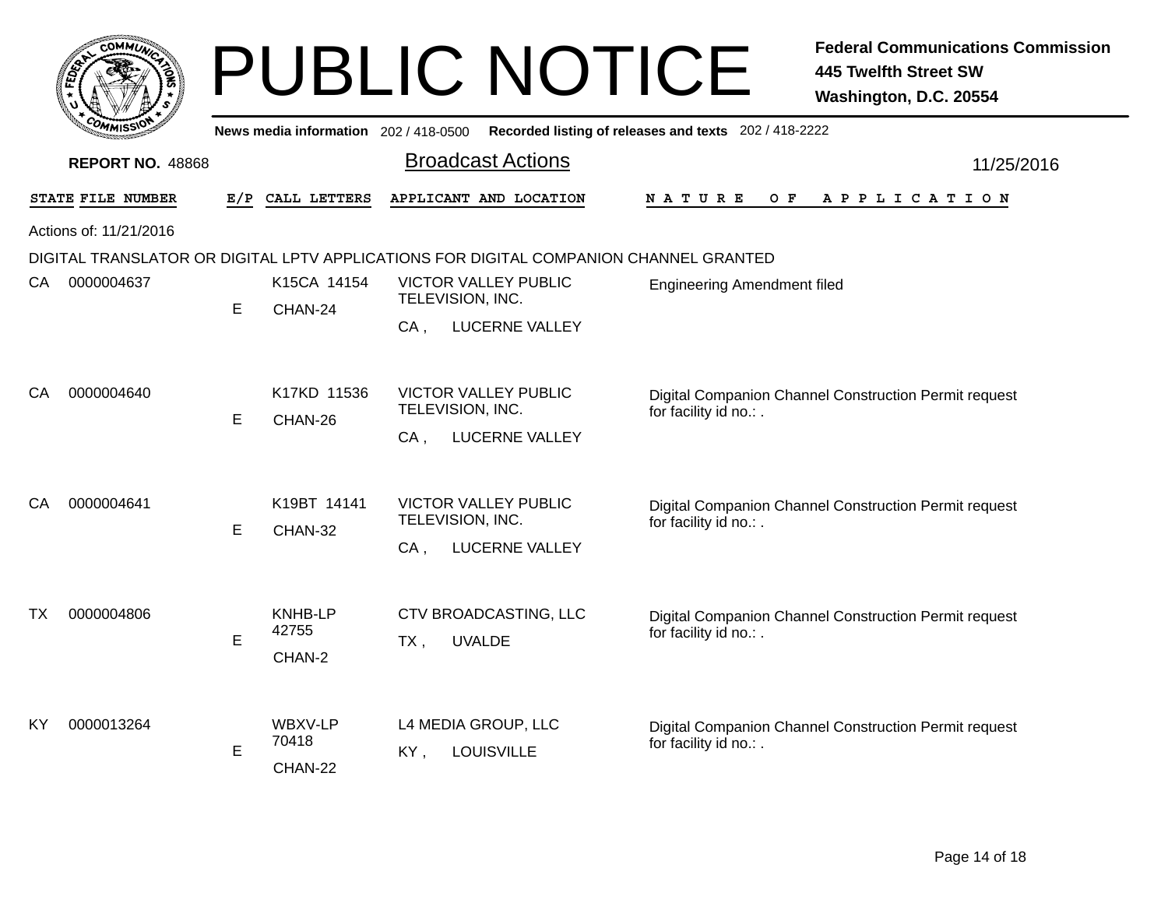|                                                                  |     | PUBLI |                                       |
|------------------------------------------------------------------|-----|-------|---------------------------------------|
|                                                                  |     |       | News media information 202 / 418-0500 |
| <b>REPORT NO. 48868</b>                                          |     |       | <b>Broadc</b>                         |
| <b>STATE FILE NUMBER</b>                                         | E/P |       | CALL LETTERS APPLICANT                |
| $\Lambda$ at $\Lambda$ and $\Lambda$ and $\Lambda$ and $\Lambda$ |     |       |                                       |

### PUBLIC NOTICE **Federal Communications Commission 445 Twelfth Street SW Washington, D.C. 20554**

Broadcast Actions 11/25/2016 **Recorded listing of releases and texts** 202 / 418-2222 **E/P CALL LETTERS APPLICANT AND LOCATION N A T U R E O F A P P L I C A T I O N** Actions of: 11/21/2016DIGITAL TRANSLATOR OR DIGITAL LPTV APPLICATIONS FOR DIGITAL COMPANION CHANNEL GRANTED, LUCERNE VALLEY E CHAN-24CA. VICTOR VALLEY PUBLIC Engineering Amendment filed TELEVISION, INC. CA0000004637 K15CA 14154 , LUCERNE VALLEY E CHAN-26 $CA$ . Digital Companion Channel Construction Permit request for facility id no.: . VICTOR VALLEY PUBLICTELEVISION, INC. CA0000004640 K17KD 11536 , LUCERNE VALLEY E CHAN-32CA. Digital Companion Channel Construction Permit request for facility id no.: . VICTOR VALLEY PUBLICTELEVISION, INC. CA0000004641 K19BT 14141 , UVALDE CHAN-2EE TX Digital Companion Channel Construction Permit request for facility id no.: . KNHB-LP CTV BROADCASTING, LLC 42755TX 0000004806 **LOUISVILLE** CHAN-22E KY Digital Companion Channel Construction Permit request for facility id no.: . WBXV-LP L4 MEDIA GROUP, LLC 70418KY0000013264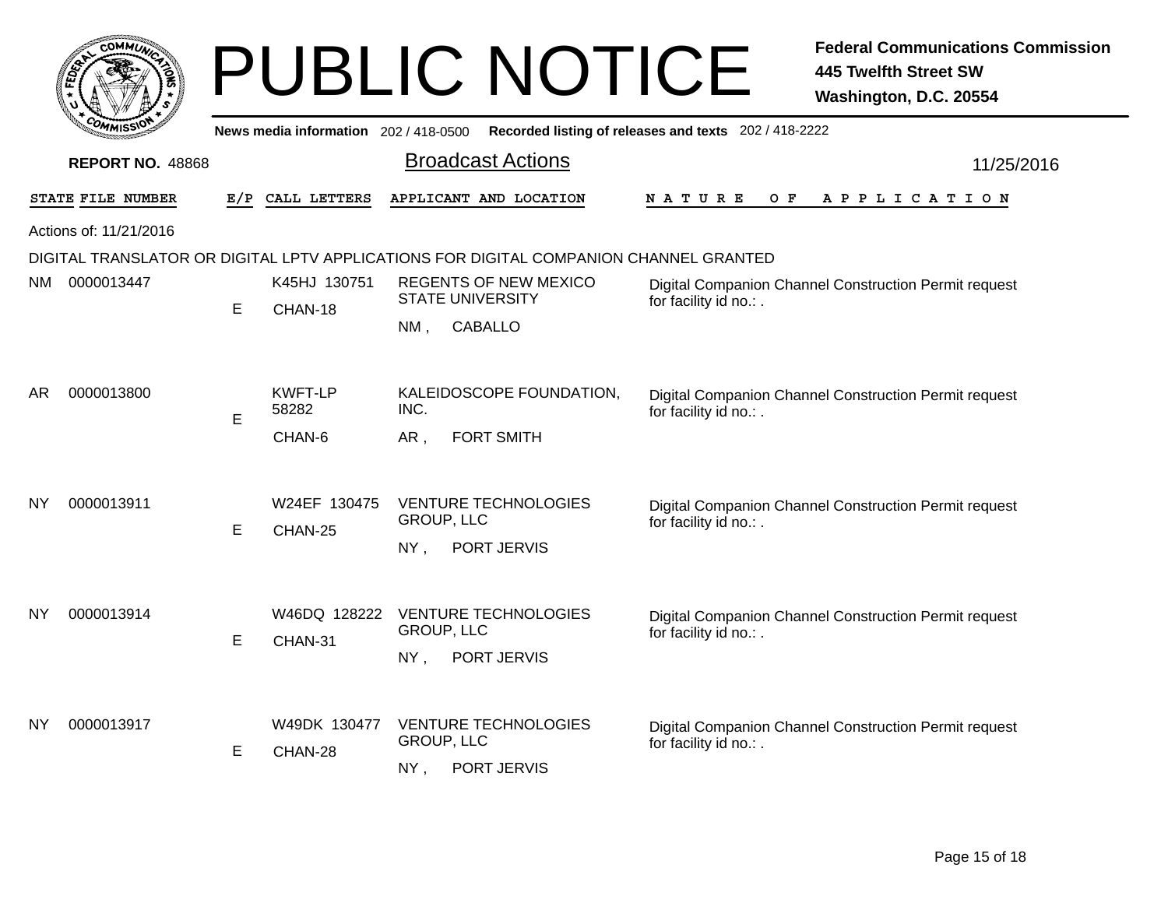|           | COMMUN                  |     |                                       | <b>PUBLIC NOTICE</b>                                                                  | <b>Federal Communications Commission</b><br><b>445 Twelfth Street SW</b><br>Washington, D.C. 20554 |
|-----------|-------------------------|-----|---------------------------------------|---------------------------------------------------------------------------------------|----------------------------------------------------------------------------------------------------|
|           |                         |     | News media information 202 / 418-0500 |                                                                                       | Recorded listing of releases and texts 202 / 418-2222                                              |
|           | <b>REPORT NO. 48868</b> |     |                                       | <b>Broadcast Actions</b>                                                              | 11/25/2016                                                                                         |
|           | STATE FILE NUMBER       | E/P | CALL LETTERS                          | APPLICANT AND LOCATION                                                                | N A T U R E<br>O F<br>A P P L I C A T I O N                                                        |
|           | Actions of: 11/21/2016  |     |                                       |                                                                                       |                                                                                                    |
|           |                         |     |                                       | DIGITAL TRANSLATOR OR DIGITAL LPTV APPLICATIONS FOR DIGITAL COMPANION CHANNEL GRANTED |                                                                                                    |
| NM -      | 0000013447              | E   | K45HJ 130751                          | <b>REGENTS OF NEW MEXICO</b><br><b>STATE UNIVERSITY</b>                               | Digital Companion Channel Construction Permit request<br>for facility id no.:.                     |
|           |                         |     | CHAN-18                               | $NM$ ,<br><b>CABALLO</b>                                                              |                                                                                                    |
| AR        | 0000013800              | E   | <b>KWFT-LP</b><br>58282<br>CHAN-6     | KALEIDOSCOPE FOUNDATION,<br>INC.<br><b>FORT SMITH</b><br>AR .                         | Digital Companion Channel Construction Permit request<br>for facility id no.: .                    |
| ΝY        | 0000013911              | E   | W24EF 130475<br>CHAN-25               | <b>VENTURE TECHNOLOGIES</b><br><b>GROUP, LLC</b><br>NY.<br>PORT JERVIS                | Digital Companion Channel Construction Permit request<br>for facility id no.: .                    |
| <b>NY</b> | 0000013914              | E   | W46DQ 128222<br>CHAN-31               | <b>VENTURE TECHNOLOGIES</b><br><b>GROUP, LLC</b><br>PORT JERVIS<br>NY,                | Digital Companion Channel Construction Permit request<br>for facility id no.: .                    |
| ΝY        | 0000013917              | E   | W49DK 130477<br>CHAN-28               | <b>VENTURE TECHNOLOGIES</b><br><b>GROUP, LLC</b><br>PORT JERVIS<br>NY,                | Digital Companion Channel Construction Permit request<br>for facility id no.: .                    |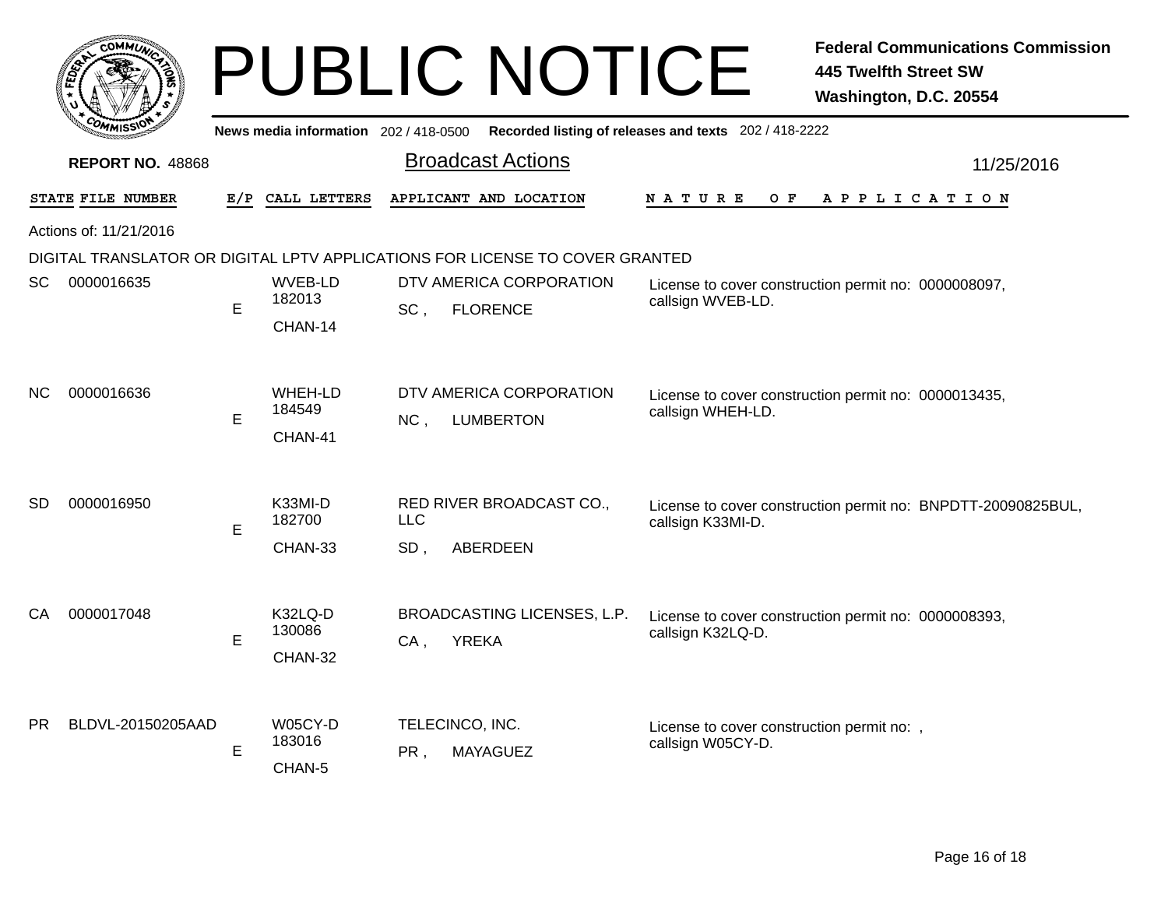|     | $c$ <sub>O</sub> MM $\vec{u}$ |     |                                       |                   | <b>PUBLIC NOTICE</b>                                                         |                                                                 | <b>Federal Communications Commission</b><br><b>445 Twelfth Street SW</b><br>Washington, D.C. 20554 |
|-----|-------------------------------|-----|---------------------------------------|-------------------|------------------------------------------------------------------------------|-----------------------------------------------------------------|----------------------------------------------------------------------------------------------------|
|     |                               |     | News media information 202 / 418-0500 |                   |                                                                              | Recorded listing of releases and texts 202 / 418-2222           |                                                                                                    |
|     | <b>REPORT NO. 48868</b>       |     |                                       |                   | <b>Broadcast Actions</b>                                                     |                                                                 | 11/25/2016                                                                                         |
|     | STATE FILE NUMBER             | E/P | CALL LETTERS                          |                   | APPLICANT AND LOCATION                                                       | O F<br>N A T U R E                                              | A P P L I C A T I O N                                                                              |
|     | Actions of: 11/21/2016        |     |                                       |                   |                                                                              |                                                                 |                                                                                                    |
|     |                               |     |                                       |                   | DIGITAL TRANSLATOR OR DIGITAL LPTV APPLICATIONS FOR LICENSE TO COVER GRANTED |                                                                 |                                                                                                    |
| SC  | 0000016635                    | E   | WVEB-LD<br>182013<br>CHAN-14          | SC,               | DTV AMERICA CORPORATION<br><b>FLORENCE</b>                                   | callsign WVEB-LD.                                               | License to cover construction permit no: 0000008097,                                               |
| NC. | 0000016636                    | E   | WHEH-LD<br>184549<br>CHAN-41          | NC,               | DTV AMERICA CORPORATION<br><b>LUMBERTON</b>                                  | callsign WHEH-LD.                                               | License to cover construction permit no: 0000013435,                                               |
| SD  | 0000016950                    | E   | K33MI-D<br>182700<br>CHAN-33          | <b>LLC</b><br>SD, | RED RIVER BROADCAST CO.,<br><b>ABERDEEN</b>                                  | callsign K33MI-D.                                               | License to cover construction permit no: BNPDTT-20090825BUL,                                       |
| CA  | 0000017048                    | E   | K32LQ-D<br>130086<br>CHAN-32          | $CA$ ,            | BROADCASTING LICENSES, L.P.<br><b>YREKA</b>                                  | callsign K32LQ-D.                                               | License to cover construction permit no: 0000008393,                                               |
| PR. | BLDVL-20150205AAD             | E   | W05CY-D<br>183016<br>CHAN-5           | PR.               | TELECINCO, INC.<br><b>MAYAGUEZ</b>                                           | License to cover construction permit no: ,<br>callsign W05CY-D. |                                                                                                    |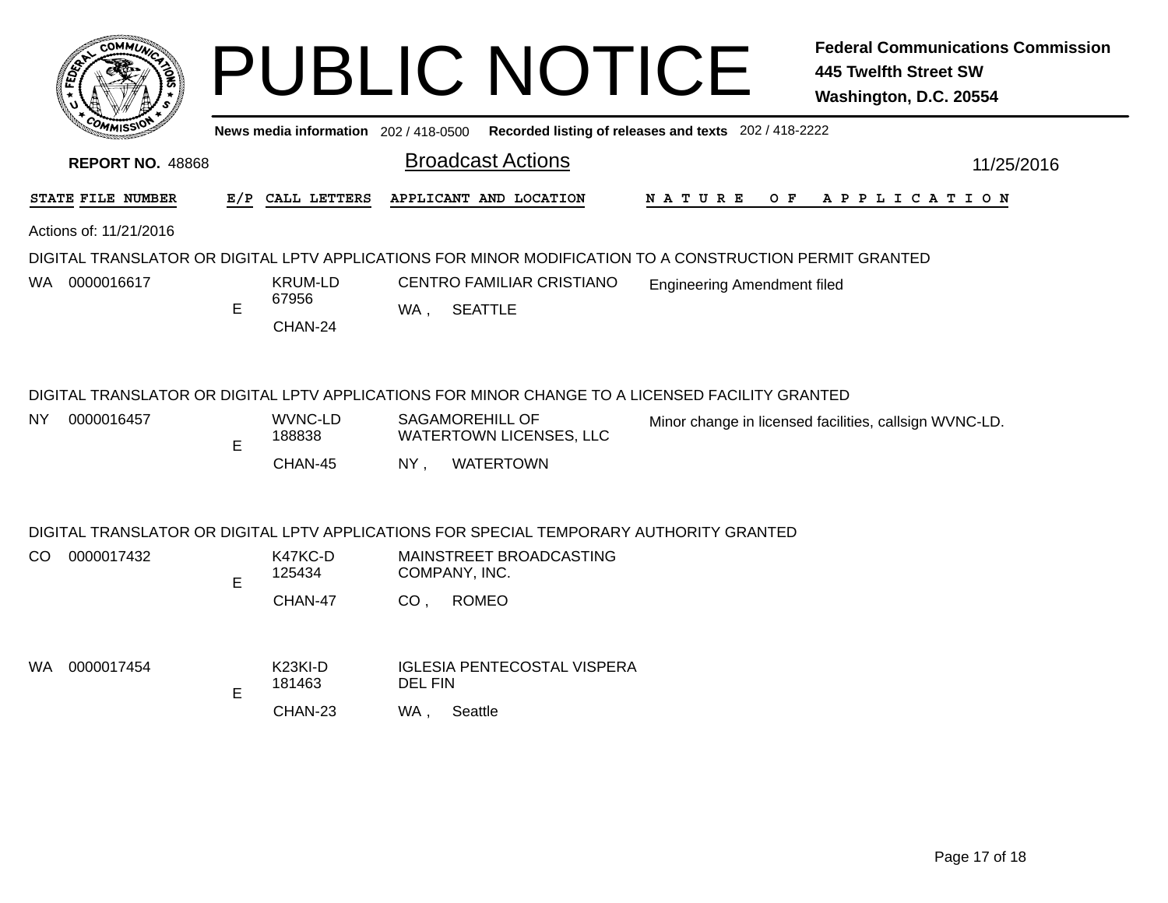|      | COMMUN                  |     |                                          | <b>PUBLIC NOTICE</b>                                                                                                                                        |                                                       | <b>Federal Communications Commission</b><br><b>445 Twelfth Street SW</b><br>Washington, D.C. 20554 |
|------|-------------------------|-----|------------------------------------------|-------------------------------------------------------------------------------------------------------------------------------------------------------------|-------------------------------------------------------|----------------------------------------------------------------------------------------------------|
|      |                         |     | News media information 202 / 418-0500    |                                                                                                                                                             | Recorded listing of releases and texts 202 / 418-2222 |                                                                                                    |
|      | <b>REPORT NO. 48868</b> |     |                                          | <b>Broadcast Actions</b>                                                                                                                                    |                                                       | 11/25/2016                                                                                         |
|      | STATE FILE NUMBER       | E/P | CALL LETTERS                             | APPLICANT AND LOCATION                                                                                                                                      | N A T U R E<br>O F                                    | A P P L I C A T I O N                                                                              |
|      | Actions of: 11/21/2016  |     |                                          |                                                                                                                                                             |                                                       |                                                                                                    |
|      |                         |     |                                          | DIGITAL TRANSLATOR OR DIGITAL LPTV APPLICATIONS FOR MINOR MODIFICATION TO A CONSTRUCTION PERMIT GRANTED                                                     |                                                       |                                                                                                    |
| WA . | 0000016617              | E   | <b>KRUM-LD</b><br>67956<br>CHAN-24       | CENTRO FAMILIAR CRISTIANO<br><b>SEATTLE</b><br>WA ,                                                                                                         | <b>Engineering Amendment filed</b>                    |                                                                                                    |
| NY.  | 0000016457              | E   | WVNC-LD<br>188838                        | DIGITAL TRANSLATOR OR DIGITAL LPTV APPLICATIONS FOR MINOR CHANGE TO A LICENSED FACILITY GRANTED<br><b>SAGAMOREHILL OF</b><br><b>WATERTOWN LICENSES, LLC</b> |                                                       | Minor change in licensed facilities, callsign WVNC-LD.                                             |
|      |                         |     | CHAN-45                                  | <b>WATERTOWN</b><br>$NY$ ,                                                                                                                                  |                                                       |                                                                                                    |
|      |                         |     |                                          | DIGITAL TRANSLATOR OR DIGITAL LPTV APPLICATIONS FOR SPECIAL TEMPORARY AUTHORITY GRANTED                                                                     |                                                       |                                                                                                    |
| CO.  | 0000017432              | E   | K47KC-D<br>125434                        | MAINSTREET BROADCASTING<br>COMPANY, INC.                                                                                                                    |                                                       |                                                                                                    |
|      |                         |     | CHAN-47                                  | CO, ROMEO                                                                                                                                                   |                                                       |                                                                                                    |
| WA.  | 0000017454              | E   | K <sub>23KI-D</sub><br>181463<br>CHAN-23 | <b>IGLESIA PENTECOSTAL VISPERA</b><br><b>DEL FIN</b><br>Seattle<br>WA .                                                                                     |                                                       |                                                                                                    |